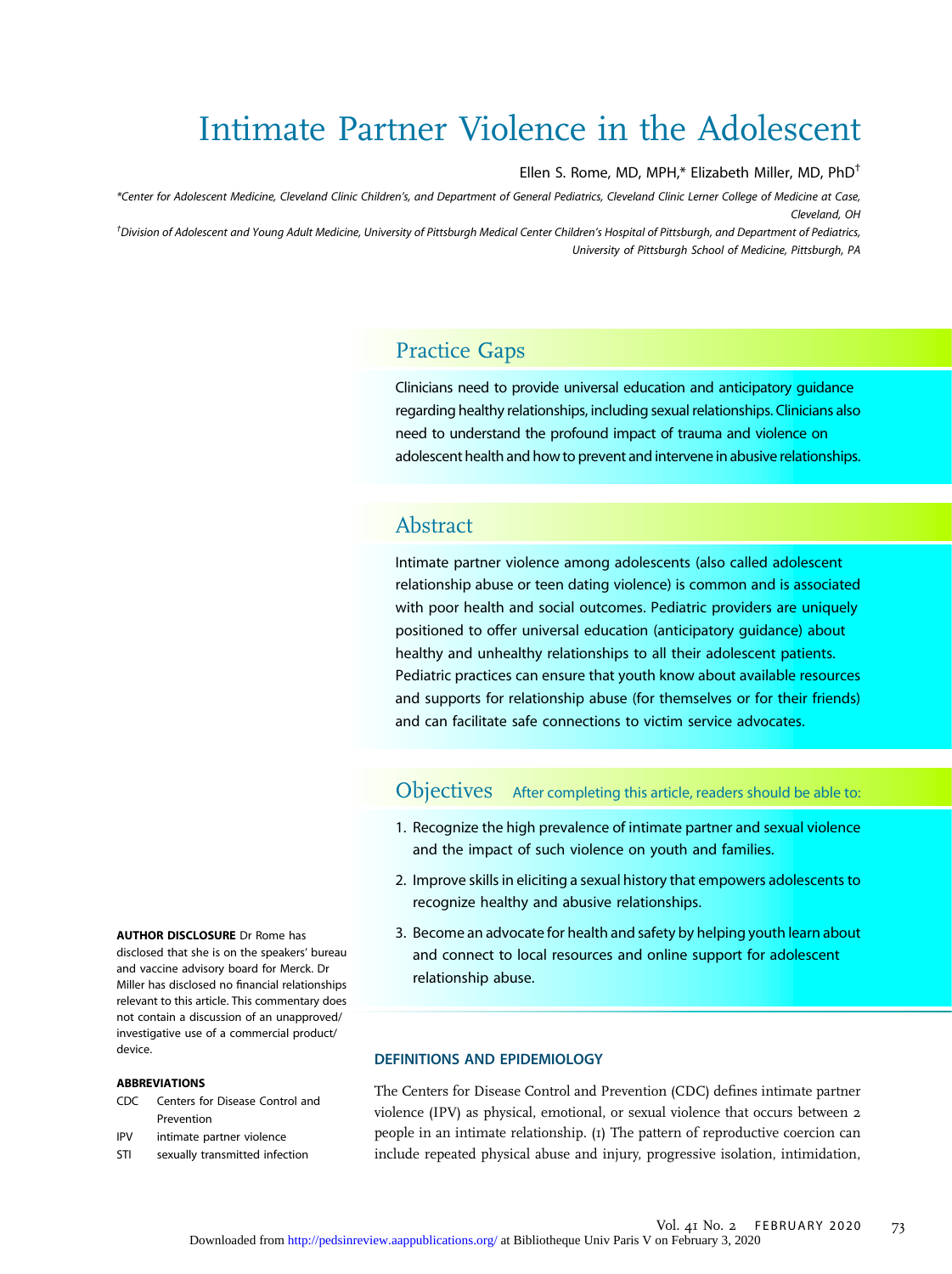# Intimate Partner Violence in the Adolescent

Ellen S. Rome, MD, MPH,\* Elizabeth Miller, MD, PhD†

\*Center for Adolescent Medicine, Cleveland Clinic Children's, and Department of General Pediatrics, Cleveland Clinic Lerner College of Medicine at Case, Cleveland, OH

† Division of Adolescent and Young Adult Medicine, University of Pittsburgh Medical Center Children's Hospital of Pittsburgh, and Department of Pediatrics, University of Pittsburgh School of Medicine, Pittsburgh, PA

# Practice Gaps

Clinicians need to provide universal education and anticipatory guidance regarding healthy relationships, including sexual relationships. Clinicians also need to understand the profound impact of trauma and violence on adolescent health and how to prevent and intervene in abusive relationships.

# Abstract

Intimate partner violence among adolescents (also called adolescent relationship abuse or teen dating violence) is common and is associated with poor health and social outcomes. Pediatric providers are uniquely positioned to offer universal education (anticipatory guidance) about healthy and unhealthy relationships to all their adolescent patients. Pediatric practices can ensure that youth know about available resources and supports for relationship abuse (for themselves or for their friends) and can facilitate safe connections to victim service advocates.

### Objectives After completing this article, readers should be able to:

- 1. Recognize the high prevalence of intimate partner and sexual violence and the impact of such violence on youth and families.
- 2. Improve skills in eliciting a sexual history that empowers adolescents to recognize healthy and abusive relationships.
- 3. Become an advocate for health and safety by helping youth learn about and connect to local resources and online support for adolescent relationship abuse.

#### **DEFINITIONS AND EPIDEMIOLOGY**

The Centers for Disease Control and Prevention (CDC) defines intimate partner violence (IPV) as physical, emotional, or sexual violence that occurs between 2 people in an intimate relationship. (1) The pattern of reproductive coercion can include repeated physical abuse and injury, progressive isolation, intimidation,

AUTHOR DISCLOSURE Dr Rome has disclosed that she is on the speakers' bureau and vaccine advisory board for Merck. Dr Miller has disclosed no financial relationships relevant to this article. This commentary does not contain a discussion of an unapproved/ investigative use of a commercial product/ device.

#### ABBREVIATIONS

- CDC Centers for Disease Control and Prevention
- IPV intimate partner violence
- STI sexually transmitted infection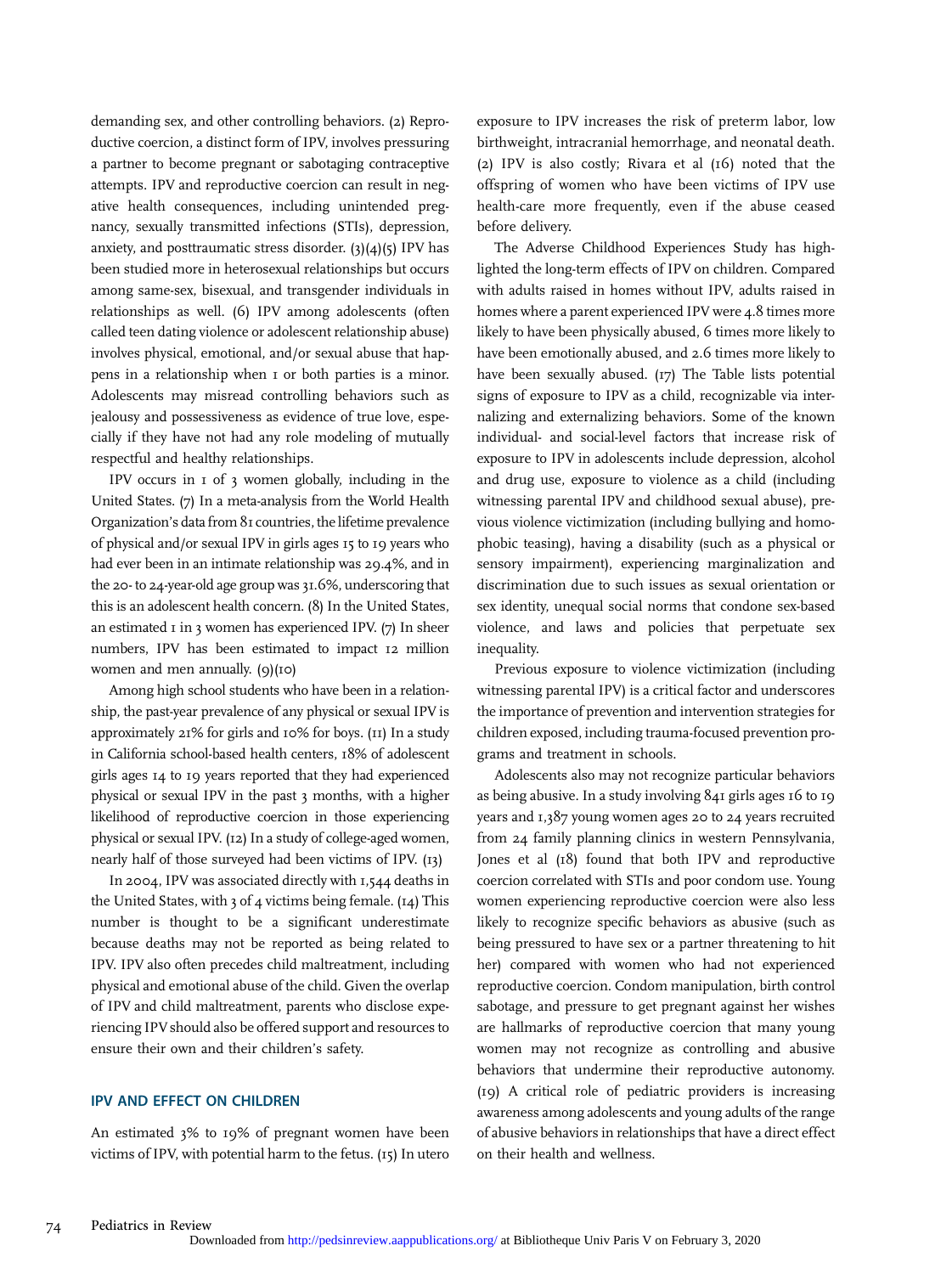demanding sex, and other controlling behaviors. (2) Reproductive coercion, a distinct form of IPV, involves pressuring a partner to become pregnant or sabotaging contraceptive attempts. IPV and reproductive coercion can result in negative health consequences, including unintended pregnancy, sexually transmitted infections (STIs), depression, anxiety, and posttraumatic stress disorder.  $(3)(4)(5)$  IPV has been studied more in heterosexual relationships but occurs among same-sex, bisexual, and transgender individuals in relationships as well. (6) IPV among adolescents (often called teen dating violence or adolescent relationship abuse) involves physical, emotional, and/or sexual abuse that happens in a relationship when 1 or both parties is a minor. Adolescents may misread controlling behaviors such as jealousy and possessiveness as evidence of true love, especially if they have not had any role modeling of mutually respectful and healthy relationships.

IPV occurs in 1 of 3 women globally, including in the United States. (7) In a meta-analysis from the World Health Organization's data from 81 countries, the lifetime prevalence of physical and/or sexual IPV in girls ages 15 to 19 years who had ever been in an intimate relationship was 29.4%, and in the 20- to 24-year-old age group was 31.6%, underscoring that this is an adolescent health concern. (8) In the United States, an estimated  $\bar{1}$  in 3 women has experienced IPV. (7) In sheer numbers, IPV has been estimated to impact 12 million women and men annually. (9)(10)

Among high school students who have been in a relationship, the past-year prevalence of any physical or sexual IPV is approximately 21% for girls and 10% for boys. (11) In a study in California school-based health centers, 18% of adolescent girls ages 14 to 19 years reported that they had experienced physical or sexual IPV in the past 3 months, with a higher likelihood of reproductive coercion in those experiencing physical or sexual IPV. (12) In a study of college-aged women, nearly half of those surveyed had been victims of IPV. (13)

In 2004, IPV was associated directly with 1,544 deaths in the United States, with  $3$  of  $4$  victims being female. ( $14$ ) This number is thought to be a significant underestimate because deaths may not be reported as being related to IPV. IPV also often precedes child maltreatment, including physical and emotional abuse of the child. Given the overlap of IPV and child maltreatment, parents who disclose experiencing IPV should also be offered support and resources to ensure their own and their children's safety.

An estimated 3% to 19% of pregnant women have been victims of IPV, with potential harm to the fetus. (15) In utero exposure to IPV increases the risk of preterm labor, low birthweight, intracranial hemorrhage, and neonatal death. (2) IPV is also costly; Rivara et al (16) noted that the offspring of women who have been victims of IPV use health-care more frequently, even if the abuse ceased before delivery.

The Adverse Childhood Experiences Study has highlighted the long-term effects of IPV on children. Compared with adults raised in homes without IPV, adults raised in homes where a parent experienced IPV were 4.8 times more likely to have been physically abused, 6 times more likely to have been emotionally abused, and 2.6 times more likely to have been sexually abused. (17) The Table lists potential signs of exposure to IPV as a child, recognizable via internalizing and externalizing behaviors. Some of the known individual- and social-level factors that increase risk of exposure to IPV in adolescents include depression, alcohol and drug use, exposure to violence as a child (including witnessing parental IPV and childhood sexual abuse), previous violence victimization (including bullying and homophobic teasing), having a disability (such as a physical or sensory impairment), experiencing marginalization and discrimination due to such issues as sexual orientation or sex identity, unequal social norms that condone sex-based violence, and laws and policies that perpetuate sex inequality.

Previous exposure to violence victimization (including witnessing parental IPV) is a critical factor and underscores the importance of prevention and intervention strategies for children exposed, including trauma-focused prevention programs and treatment in schools.

Adolescents also may not recognize particular behaviors as being abusive. In a study involving 841 girls ages 16 to 19 years and 1,387 young women ages 20 to 24 years recruited from 24 family planning clinics in western Pennsylvania, Jones et al (18) found that both IPV and reproductive coercion correlated with STIs and poor condom use. Young women experiencing reproductive coercion were also less likely to recognize specific behaviors as abusive (such as being pressured to have sex or a partner threatening to hit her) compared with women who had not experienced reproductive coercion. Condom manipulation, birth control sabotage, and pressure to get pregnant against her wishes are hallmarks of reproductive coercion that many young women may not recognize as controlling and abusive behaviors that undermine their reproductive autonomy. (19) A critical role of pediatric providers is increasing awareness among adolescents and young adults of the range of abusive behaviors in relationships that have a direct effect on their health and wellness.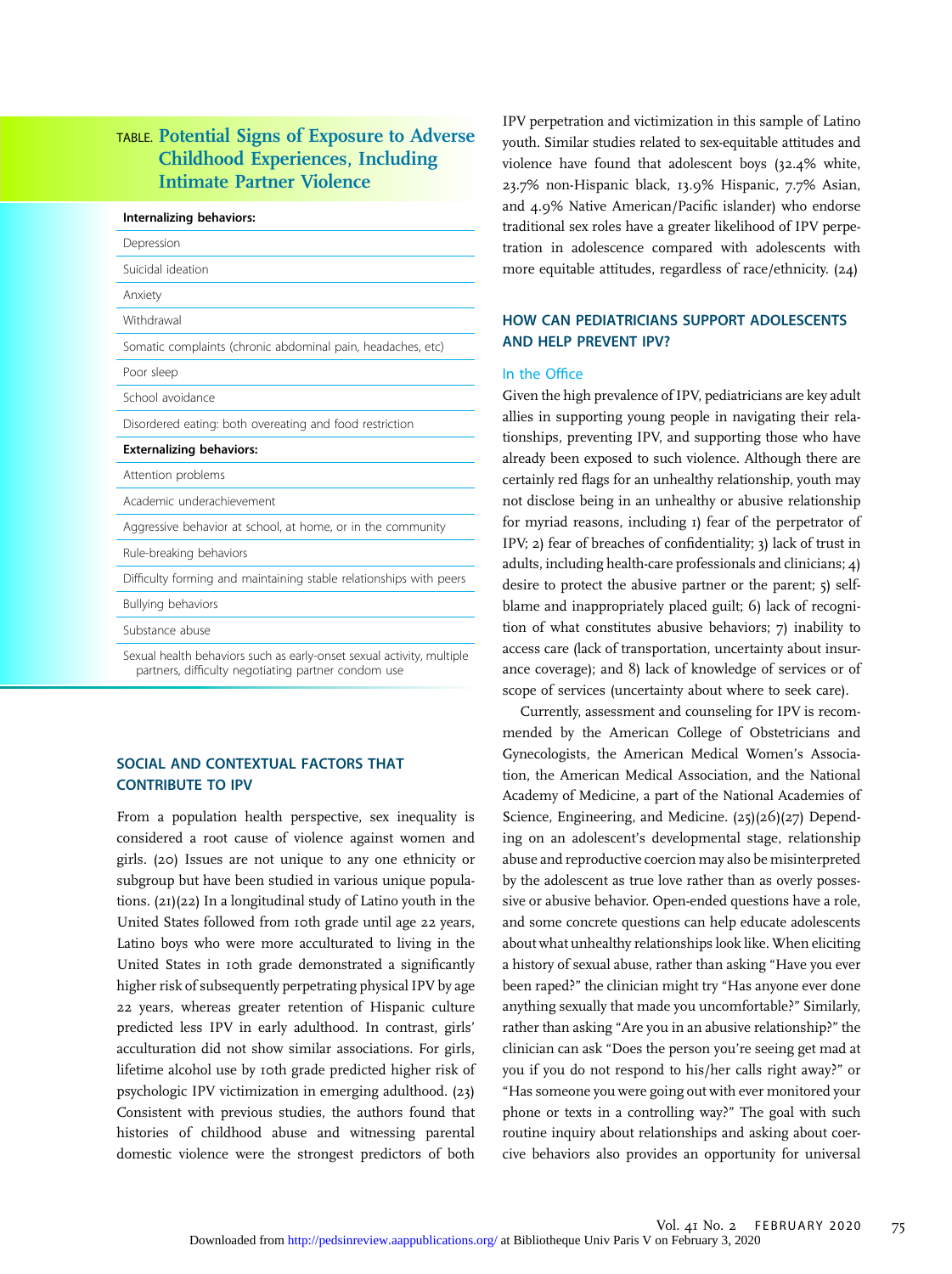### TABLE. Potential Signs of Exposure to Adverse Childhood Experiences, Including Intimate Partner Violence

| Internalizing behaviors:                                             |  |
|----------------------------------------------------------------------|--|
| Depression                                                           |  |
| Suicidal ideation                                                    |  |
| Anxiety                                                              |  |
| Withdrawal                                                           |  |
| Somatic complaints (chronic abdominal pain, headaches, etc)          |  |
| Poor sleep                                                           |  |
| School avoidance                                                     |  |
| Disordered eating: both overeating and food restriction              |  |
| <b>Externalizing behaviors:</b>                                      |  |
| Attention problems                                                   |  |
| Academic underachievement                                            |  |
| Aggressive behavior at school, at home, or in the community          |  |
| Rule-breaking behaviors                                              |  |
| Difficulty forming and maintaining stable relationships with peers   |  |
| <b>Bullying behaviors</b>                                            |  |
| Substance abuse                                                      |  |
| Sexual health behaviors such as early-onset sexual activity multiple |  |

Sexual health behaviors such as early-onset sexual activity, multiple partners, difficulty negotiating partner condom use

#### SOCIAL AND CONTEXTUAL FACTORS THAT **CONTRIBUTE TO IPV**

From a population health perspective, sex inequality is considered a root cause of violence against women and girls. (20) Issues are not unique to any one ethnicity or subgroup but have been studied in various unique populations. (21)(22) In a longitudinal study of Latino youth in the United States followed from 10th grade until age 22 years, Latino boys who were more acculturated to living in the United States in 10th grade demonstrated a significantly higher risk of subsequently perpetrating physical IPV by age 22 years, whereas greater retention of Hispanic culture predicted less IPV in early adulthood. In contrast, girls' acculturation did not show similar associations. For girls, lifetime alcohol use by 10th grade predicted higher risk of psychologic IPV victimization in emerging adulthood. (23) Consistent with previous studies, the authors found that histories of childhood abuse and witnessing parental domestic violence were the strongest predictors of both

IPV perpetration and victimization in this sample of Latino youth. Similar studies related to sex-equitable attitudes and violence have found that adolescent boys (32.4% white, 23.7% non-Hispanic black, 13.9% Hispanic, 7.7% Asian, and 4.9% Native American/Pacific islander) who endorse traditional sex roles have a greater likelihood of IPV perpetation in adolescence compared with adolescents with more equitable attitudes, regardless of race/ethnicity. (24)

#### **IOW CAN PEDIATRICIANS SUPPORT ADOLESCENTS** ND HEI P PREVENT IPV?

#### n the Office

Given the high prevalence of IPV, pediatricians are key adult llies in supporting young people in navigating their relationships, preventing IPV, and supporting those who have lready been exposed to such violence. Although there are certainly red flags for an unhealthy relationship, youth may ot disclose being in an unhealthy or abusive relationship or myriad reasons, including 1) fear of the perpetrator of IPV; 2) fear of breaches of confidentiality; 3) lack of trust in dults, including health-care professionals and clinicians; 4) lesire to protect the abusive partner or the parent; 5) selflame and inappropriately placed guilt; 6) lack of recognion of what constitutes abusive behaviors; 7) inability to ccess care (lack of transportation, uncertainty about insurance coverage); and 8) lack of knowledge of services or of scope of services (uncertainty about where to seek care).

Currently, assessment and counseling for IPV is recommended by the American College of Obstetricians and Gynecologists, the American Medical Women's Association, the American Medical Association, and the National Academy of Medicine, a part of the National Academies of Science, Engineering, and Medicine. (25)(26)(27) Depending on an adolescent's developmental stage, relationship abuse and reproductive coercion may also be misinterpreted by the adolescent as true love rather than as overly possessive or abusive behavior. Open-ended questions have a role, and some concrete questions can help educate adolescents about what unhealthy relationships look like. When eliciting a history of sexual abuse, rather than asking "Have you ever been raped?" the clinician might try "Has anyone ever done anything sexually that made you uncomfortable?" Similarly, rather than asking "Are you in an abusive relationship?" the clinician can ask "Does the person you're seeing get mad at you if you do not respond to his/her calls right away?" or "Has someone you were going out with ever monitored your phone or texts in a controlling way?" The goal with such routine inquiry about relationships and asking about coercive behaviors also provides an opportunity for universal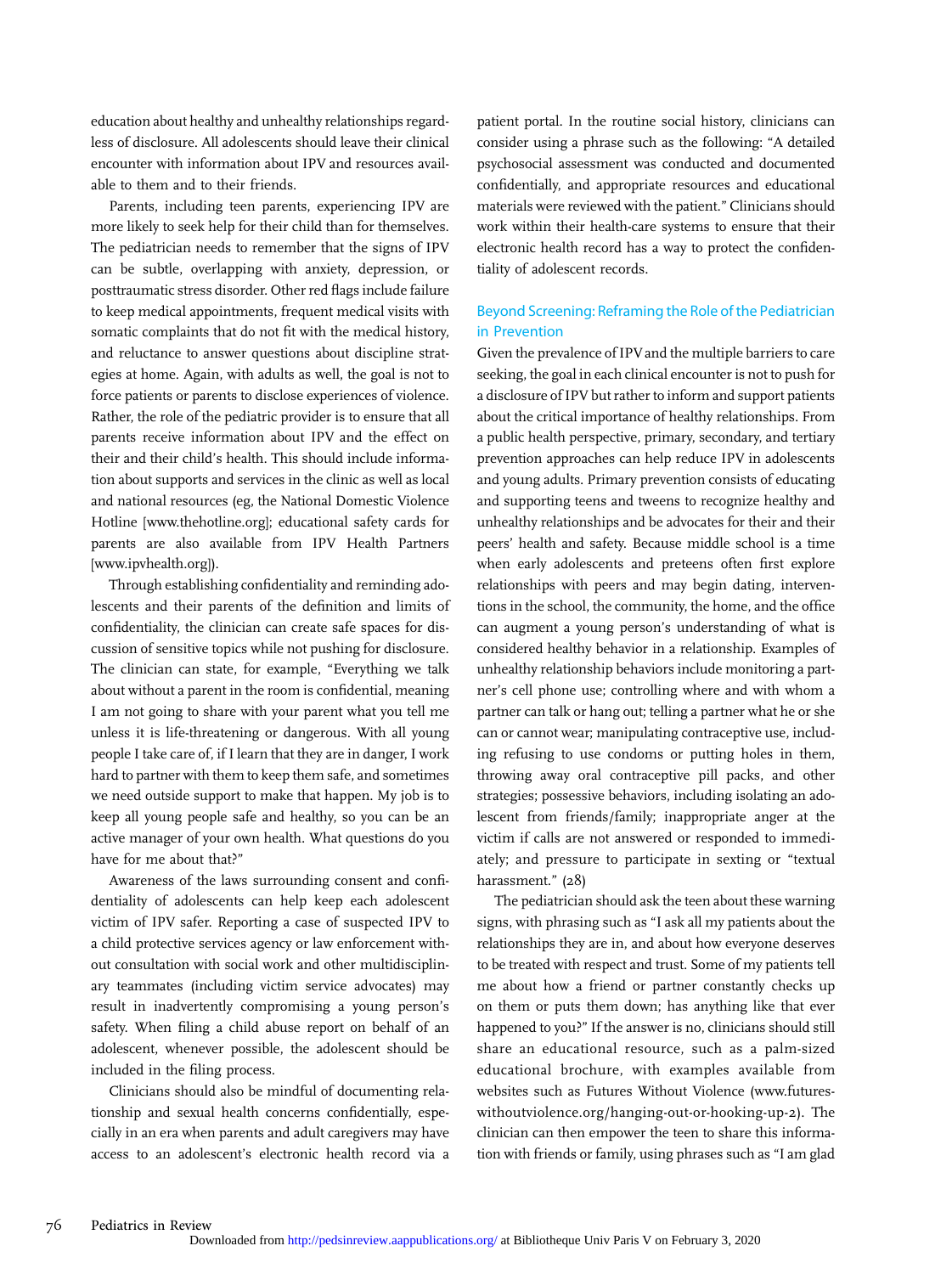education about healthy and unhealthy relationships regardless of disclosure. All adolescents should leave their clinical encounter with information about IPV and resources available to them and to their friends.

Parents, including teen parents, experiencing IPV are more likely to seek help for their child than for themselves. The pediatrician needs to remember that the signs of IPV can be subtle, overlapping with anxiety, depression, or posttraumatic stress disorder. Other red flags include failure to keep medical appointments, frequent medical visits with somatic complaints that do not fit with the medical history, and reluctance to answer questions about discipline strategies at home. Again, with adults as well, the goal is not to force patients or parents to disclose experiences of violence. Rather, the role of the pediatric provider is to ensure that all parents receive information about IPV and the effect on their and their child's health. This should include information about supports and services in the clinic as well as local and national resources (eg, the National Domestic Violence Hotline [\[www.thehotline.org](http://www.thehotline.org)]; educational safety cards for parents are also available from IPV Health Partners [\[www.ipvhealth.org\]](http://www.ipvhealth.org)).

Through establishing confidentiality and reminding adolescents and their parents of the definition and limits of confidentiality, the clinician can create safe spaces for discussion of sensitive topics while not pushing for disclosure. The clinician can state, for example, "Everything we talk about without a parent in the room is confidential, meaning I am not going to share with your parent what you tell me unless it is life-threatening or dangerous. With all young people I take care of, if I learn that they are in danger, I work hard to partner with them to keep them safe, and sometimes we need outside support to make that happen. My job is to keep all young people safe and healthy, so you can be an active manager of your own health. What questions do you have for me about that?"

Awareness of the laws surrounding consent and confidentiality of adolescents can help keep each adolescent victim of IPV safer. Reporting a case of suspected IPV to a child protective services agency or law enforcement without consultation with social work and other multidisciplinary teammates (including victim service advocates) may result in inadvertently compromising a young person's safety. When filing a child abuse report on behalf of an adolescent, whenever possible, the adolescent should be included in the filing process.

Clinicians should also be mindful of documenting relationship and sexual health concerns confidentially, especially in an era when parents and adult caregivers may have access to an adolescent's electronic health record via a

patient portal. In the routine social history, clinicians can consider using a phrase such as the following: "A detailed psychosocial assessment was conducted and documented confidentially, and appropriate resources and educational materials were reviewed with the patient." Clinicians should work within their health-care systems to ensure that their electronic health record has a way to protect the confidentiality of adolescent records.

#### Beyond Screening: Reframing the Role of the Pediatrician in Prevention

Given the prevalence of IPV and the multiple barriers to care seeking, the goal in each clinical encounter is not to push for a disclosure of IPV but rather to inform and support patients about the critical importance of healthy relationships. From a public health perspective, primary, secondary, and tertiary prevention approaches can help reduce IPV in adolescents and young adults. Primary prevention consists of educating and supporting teens and tweens to recognize healthy and unhealthy relationships and be advocates for their and their peers' health and safety. Because middle school is a time when early adolescents and preteens often first explore relationships with peers and may begin dating, interventions in the school, the community, the home, and the office can augment a young person's understanding of what is considered healthy behavior in a relationship. Examples of unhealthy relationship behaviors include monitoring a partner's cell phone use; controlling where and with whom a partner can talk or hang out; telling a partner what he or she can or cannot wear; manipulating contraceptive use, including refusing to use condoms or putting holes in them, throwing away oral contraceptive pill packs, and other strategies; possessive behaviors, including isolating an adolescent from friends/family; inappropriate anger at the victim if calls are not answered or responded to immediately; and pressure to participate in sexting or "textual harassment." (28)

The pediatrician should ask the teen about these warning signs, with phrasing such as "I ask all my patients about the relationships they are in, and about how everyone deserves to be treated with respect and trust. Some of my patients tell me about how a friend or partner constantly checks up on them or puts them down; has anything like that ever happened to you?" If the answer is no, clinicians should still share an educational resource, such as a palm-sized educational brochure, with examples available from websites such as Futures Without Violence ([www.futures](http://www.futureswithoutviolence.org/hanging-out-or-hooking-up-2)[withoutviolence.org/hanging-out-or-hooking-up-2\)](http://www.futureswithoutviolence.org/hanging-out-or-hooking-up-2). The clinician can then empower the teen to share this information with friends or family, using phrases such as "I am glad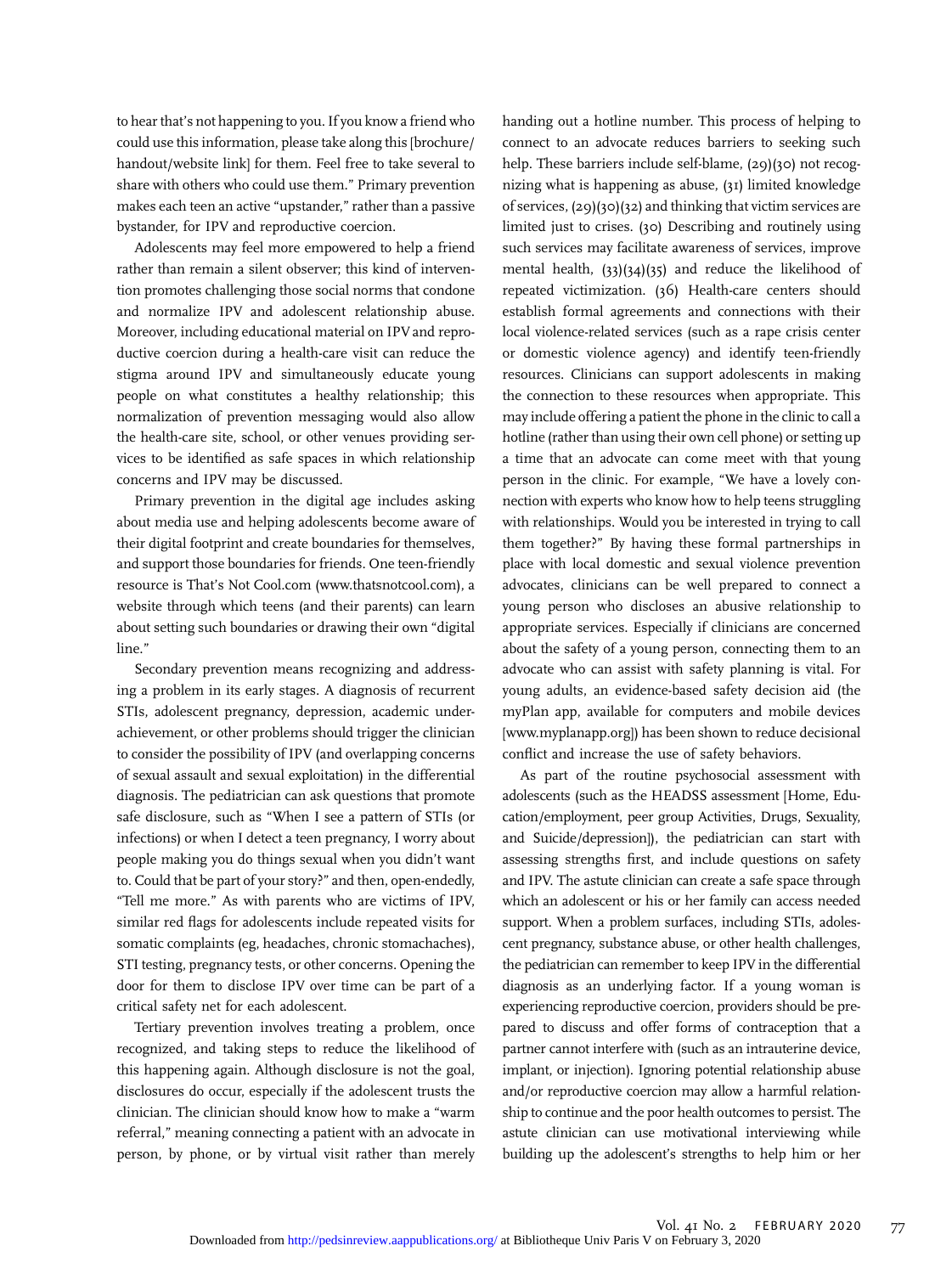to hear that's not happening to you. If you know a friend who could use this information, please take along this [brochure/ handout/website link] for them. Feel free to take several to share with others who could use them." Primary prevention makes each teen an active "upstander," rather than a passive bystander, for IPV and reproductive coercion.

Adolescents may feel more empowered to help a friend rather than remain a silent observer; this kind of intervention promotes challenging those social norms that condone and normalize IPV and adolescent relationship abuse. Moreover, including educational material on IPV and reproductive coercion during a health-care visit can reduce the stigma around IPV and simultaneously educate young people on what constitutes a healthy relationship; this normalization of prevention messaging would also allow the health-care site, school, or other venues providing services to be identified as safe spaces in which relationship concerns and IPV may be discussed.

Primary prevention in the digital age includes asking about media use and helping adolescents become aware of their digital footprint and create boundaries for themselves, and support those boundaries for friends. One teen-friendly resource is That's Not [Cool.com](http://Cool.com) [\(www.thatsnotcool.com\)](http://www.thatsnotcool.com), a website through which teens (and their parents) can learn about setting such boundaries or drawing their own "digital line."

Secondary prevention means recognizing and addressing a problem in its early stages. A diagnosis of recurrent STIs, adolescent pregnancy, depression, academic underachievement, or other problems should trigger the clinician to consider the possibility of IPV (and overlapping concerns of sexual assault and sexual exploitation) in the differential diagnosis. The pediatrician can ask questions that promote safe disclosure, such as "When I see a pattern of STIs (or infections) or when I detect a teen pregnancy, I worry about people making you do things sexual when you didn't want to. Could that be part of your story?" and then, open-endedly, "Tell me more." As with parents who are victims of IPV, similar red flags for adolescents include repeated visits for somatic complaints (eg, headaches, chronic stomachaches), STI testing, pregnancy tests, or other concerns. Opening the door for them to disclose IPV over time can be part of a critical safety net for each adolescent.

Tertiary prevention involves treating a problem, once recognized, and taking steps to reduce the likelihood of this happening again. Although disclosure is not the goal, disclosures do occur, especially if the adolescent trusts the clinician. The clinician should know how to make a "warm referral," meaning connecting a patient with an advocate in person, by phone, or by virtual visit rather than merely

handing out a hotline number. This process of helping to connect to an advocate reduces barriers to seeking such help. These barriers include self-blame, (29)(30) not recognizing what is happening as abuse, (31) limited knowledge of services, (29)(30)(32) and thinking that victim services are limited just to crises. (30) Describing and routinely using such services may facilitate awareness of services, improve mental health, (33)(34)(35) and reduce the likelihood of repeated victimization. (36) Health-care centers should establish formal agreements and connections with their local violence-related services (such as a rape crisis center or domestic violence agency) and identify teen-friendly resources. Clinicians can support adolescents in making the connection to these resources when appropriate. This may include offering a patient the phone in the clinic to call a hotline (rather than using their own cell phone) or setting up a time that an advocate can come meet with that young person in the clinic. For example, "We have a lovely connection with experts who know how to help teens struggling with relationships. Would you be interested in trying to call them together?" By having these formal partnerships in place with local domestic and sexual violence prevention advocates, clinicians can be well prepared to connect a young person who discloses an abusive relationship to appropriate services. Especially if clinicians are concerned about the safety of a young person, connecting them to an advocate who can assist with safety planning is vital. For young adults, an evidence-based safety decision aid (the myPlan app, available for computers and mobile devices [\[www.myplanapp.org\]](http://www.myplanapp.org)) has been shown to reduce decisional conflict and increase the use of safety behaviors.

As part of the routine psychosocial assessment with adolescents (such as the HEADSS assessment [Home, Education/employment, peer group Activities, Drugs, Sexuality, and Suicide/depression]), the pediatrician can start with assessing strengths first, and include questions on safety and IPV. The astute clinician can create a safe space through which an adolescent or his or her family can access needed support. When a problem surfaces, including STIs, adolescent pregnancy, substance abuse, or other health challenges, the pediatrician can remember to keep IPV in the differential diagnosis as an underlying factor. If a young woman is experiencing reproductive coercion, providers should be prepared to discuss and offer forms of contraception that a partner cannot interfere with (such as an intrauterine device, implant, or injection). Ignoring potential relationship abuse and/or reproductive coercion may allow a harmful relationship to continue and the poor health outcomes to persist. The astute clinician can use motivational interviewing while building up the adolescent's strengths to help him or her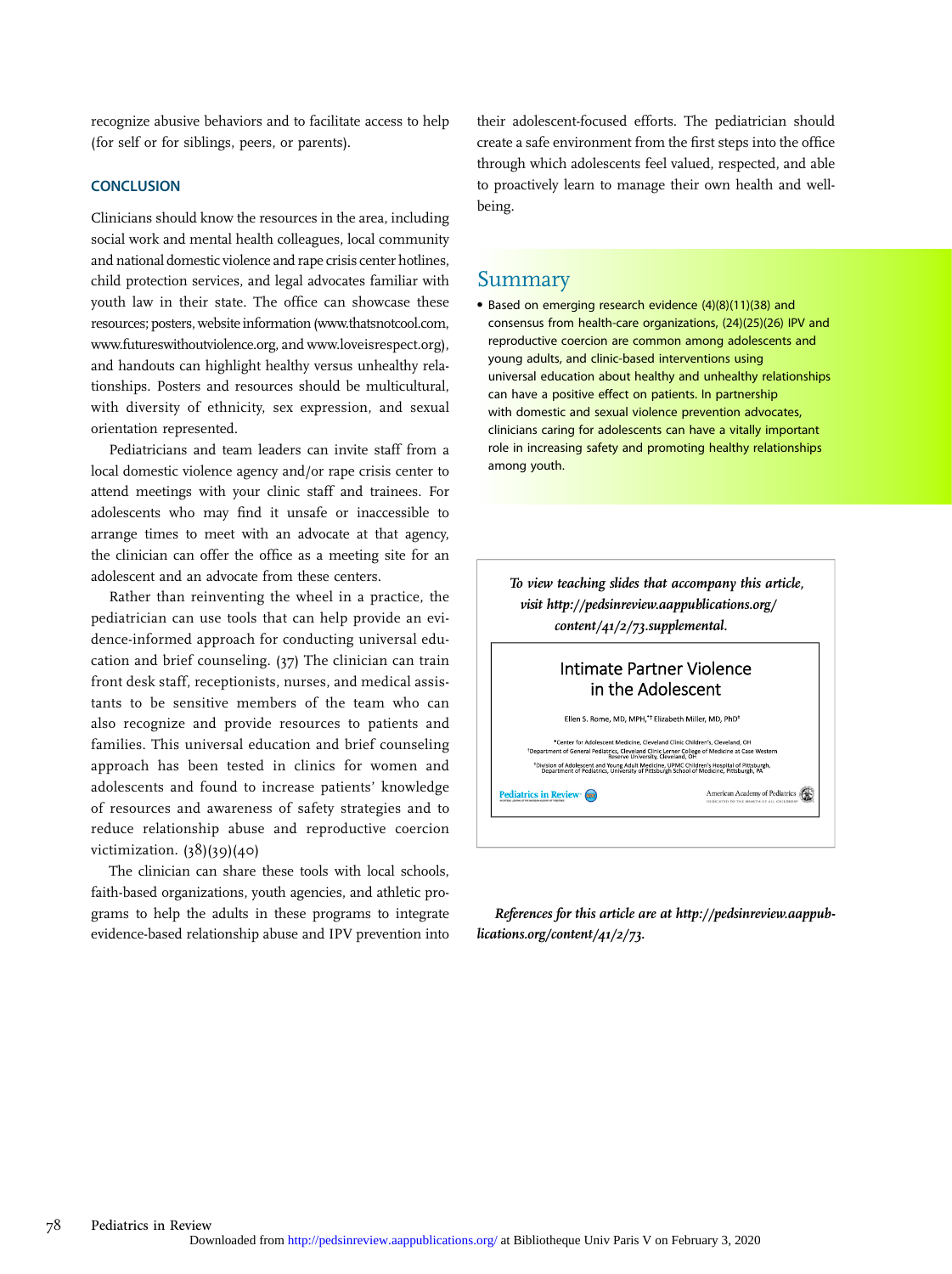recognize abusive behaviors and to facilitate access to help (for self or for siblings, peers, or parents).

Clinicians should know the resources in the area, including social work and mental health colleagues, local community and national domestic violence and rape crisis center hotlines, child protection services, and legal advocates familiar with youth law in their state. The office can showcase these resources; posters, website information [\(www.thatsnotcool.com,](http://www.thatsnotcool.com) [www.futureswithoutviolence.org](http://www.futureswithoutviolence.org), and [www.loveisrespect.org](http://www.loveisrespect.org)), and handouts can highlight healthy versus unhealthy relationships. Posters and resources should be multicultural, with diversity of ethnicity, sex expression, and sexual orientation represented.

Pediatricians and team leaders can invite staff from a local domestic violence agency and/or rape crisis center to attend meetings with your clinic staff and trainees. For adolescents who may find it unsafe or inaccessible to arrange times to meet with an advocate at that agency, the clinician can offer the office as a meeting site for an adolescent and an advocate from these centers.

Rather than reinventing the wheel in a practice, the pediatrician can use tools that can help provide an evidence-informed approach for conducting universal education and brief counseling. (37) The clinician can train front desk staff, receptionists, nurses, and medical assistants to be sensitive members of the team who can also recognize and provide resources to patients and families. This universal education and brief counseling approach has been tested in clinics for women and adolescents and found to increase patients' knowledge of resources and awareness of safety strategies and to reduce relationship abuse and reproductive coercion victimization. (38)(39)(40)

The clinician can share these tools with local schools, faith-based organizations, youth agencies, and athletic programs to help the adults in these programs to integrate evidence-based relationship abuse and IPV prevention into their adolescent-focused efforts. The pediatrician should create a safe environment from the first steps into the office through which adolescents feel valued, respected, and able to proactively learn to manage their own health and wellbeing.

#### Summary

• Based on emerging research evidence (4)(8)(11)(38) and consensus from health-care organizations, (24)(25)(26) IPV and reproductive coercion are common among adolescents and young adults, and clinic-based interventions using universal education about healthy and unhealthy relationships can have a positive effect on patients. In partnership with domestic and sexual violence prevention advocates, clinicians caring for adolescents can have a vitally important role in increasing safety and promoting healthy relationships among youth.

To view teaching slides that accompany this article, visit [http://pedsinreview.aappublications.org/](http://pedsinreview.aappublications.org/content/41/2/73.supplemental) [content/41/2/73.supplemental](http://pedsinreview.aappublications.org/content/41/2/73.supplemental).

#### Intimate Partner Violence in the Adolescent

Ellen S. Rome, MD, MPH,<sup>\*†</sup> Elizabeth Miller, MD, PhD<sup>+</sup>

\*Conter for Adolescent Medicine, Cleveland Clinic Children's, Cleveland, OH extract for Adolescent including, accessible time conditions, accessible, or<br>hent of General Pediatrics, Cleveland Clinic Lerner College of Medicine at Case Western Forwision of Adolescent and Young Adult Medicine. UPMC Children's Hospital of Pittsburgh,<br>Department of Pediatrics, University of Pittsburgh School of Medicine, Pittsburgh, PA

Pediatrics in Review (noc)

American Academy of Pediatrics

References for this article are at [http://pedsinreview.aappub](http://pedsinreview.aappublications.org/content/41/2/73)[lications.org/content/41/2/73](http://pedsinreview.aappublications.org/content/41/2/73).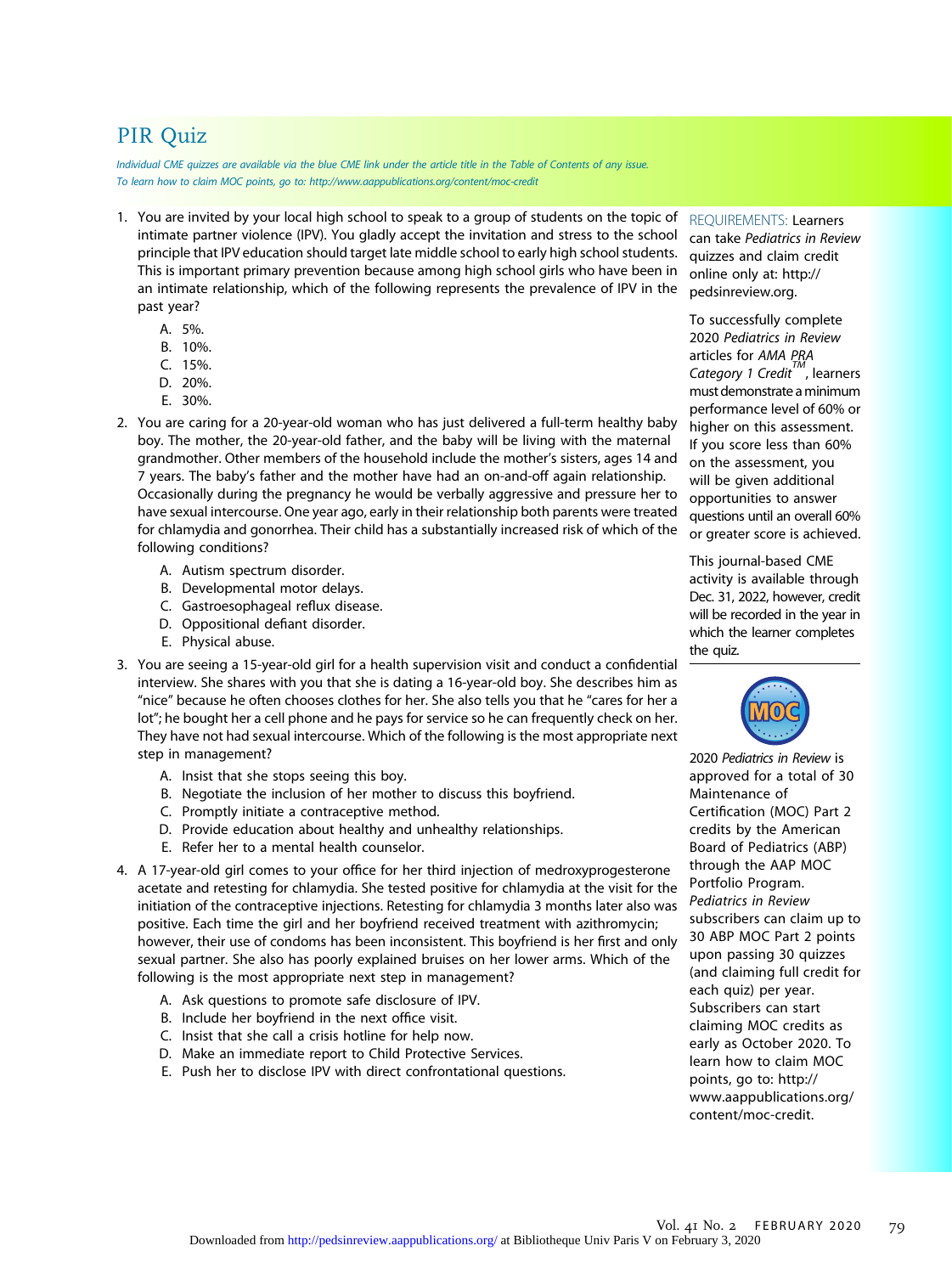# PIR Quiz

Individual CME quizzes are available via the blue CME link under the article title in the Table of Contents of any issue. To learn how to claim MOC points, go to:<http://www.aappublications.org/content/moc-credit>

- 1. You are invited by your local high school to speak to a group of students on the topic of intimate partner violence (IPV). You gladly accept the invitation and stress to the school principle that IPV education should target late middle school to early high school students. This is important primary prevention because among high school girls who have been in an intimate relationship, which of the following represents the prevalence of IPV in the past year?
	- A. 5%.
	- B. 10%.
	- C. 15%.
	- D. 20%.
	- E. 30%.
- 2. You are caring for a 20-year-old woman who has just delivered a full-term healthy baby boy. The mother, the 20-year-old father, and the baby will be living with the maternal grandmother. Other members of the household include the mother's sisters, ages 14 and 7 years. The baby's father and the mother have had an on-and-off again relationship. Occasionally during the pregnancy he would be verbally aggressive and pressure her to have sexual intercourse. One year ago, early in their relationship both parents were treated for chlamydia and gonorrhea. Their child has a substantially increased risk of which of the following conditions?
	- A. Autism spectrum disorder.
	- B. Developmental motor delays.
	- C. Gastroesophageal reflux disease.
	- D. Oppositional defiant disorder.
	- E. Physical abuse.
- 3. You are seeing a 15-year-old girl for a health supervision visit and conduct a confidential interview. She shares with you that she is dating a 16-year-old boy. She describes him as "nice" because he often chooses clothes for her. She also tells you that he "cares for her a lot"; he bought her a cell phone and he pays for service so he can frequently check on her. They have not had sexual intercourse. Which of the following is the most appropriate next step in management?
	- A. Insist that she stops seeing this boy.
	- B. Negotiate the inclusion of her mother to discuss this boyfriend.
	- C. Promptly initiate a contraceptive method.
	- D. Provide education about healthy and unhealthy relationships.
	- E. Refer her to a mental health counselor.
- 4. A 17-year-old girl comes to your office for her third injection of medroxyprogesterone acetate and retesting for chlamydia. She tested positive for chlamydia at the visit for the initiation of the contraceptive injections. Retesting for chlamydia 3 months later also was positive. Each time the girl and her boyfriend received treatment with azithromycin; however, their use of condoms has been inconsistent. This boyfriend is her first and only sexual partner. She also has poorly explained bruises on her lower arms. Which of the following is the most appropriate next step in management?
	- A. Ask questions to promote safe disclosure of IPV.
	- B. Include her boyfriend in the next office visit.
	- C. Insist that she call a crisis hotline for help now.
	- D. Make an immediate report to Child Protective Services.
	- E. Push her to disclose IPV with direct confrontational questions.

REQUIREMENTS: Learners

can take Pediatrics in Review quizzes and claim credit online only at: [http://](http://pedsinreview.org) [pedsinreview.org](http://pedsinreview.org).

To successfully complete 2020 Pediatrics in Review articles for AMA PRA Category 1 Credit $M$ , learners must demonstrate aminimum performance level of 60% or higher on this assessment. If you score less than 60% on the assessment, you will be given additional opportunities to answer questions until an overall 60% or greater score is achieved.

This journal-based CME activity is available through Dec. 31, 2022, however, credit will be recorded in the year in which the learner completes the quiz.



2020 Pediatrics in Review is approved for a total of 30 Maintenance of Certification (MOC) Part 2 credits by the American Board of Pediatrics (ABP) through the AAP MOC Portfolio Program. Pediatrics in Review subscribers can claim up to 30 ABP MOC Part 2 points upon passing 30 quizzes (and claiming full credit for each quiz) per year. Subscribers can start claiming MOC credits as early as October 2020. To learn how to claim MOC points, go to: [http://](http://www.aappublications.org/content/moc-credit) [www.aappublications.org/](http://www.aappublications.org/content/moc-credit) [content/moc-credit](http://www.aappublications.org/content/moc-credit).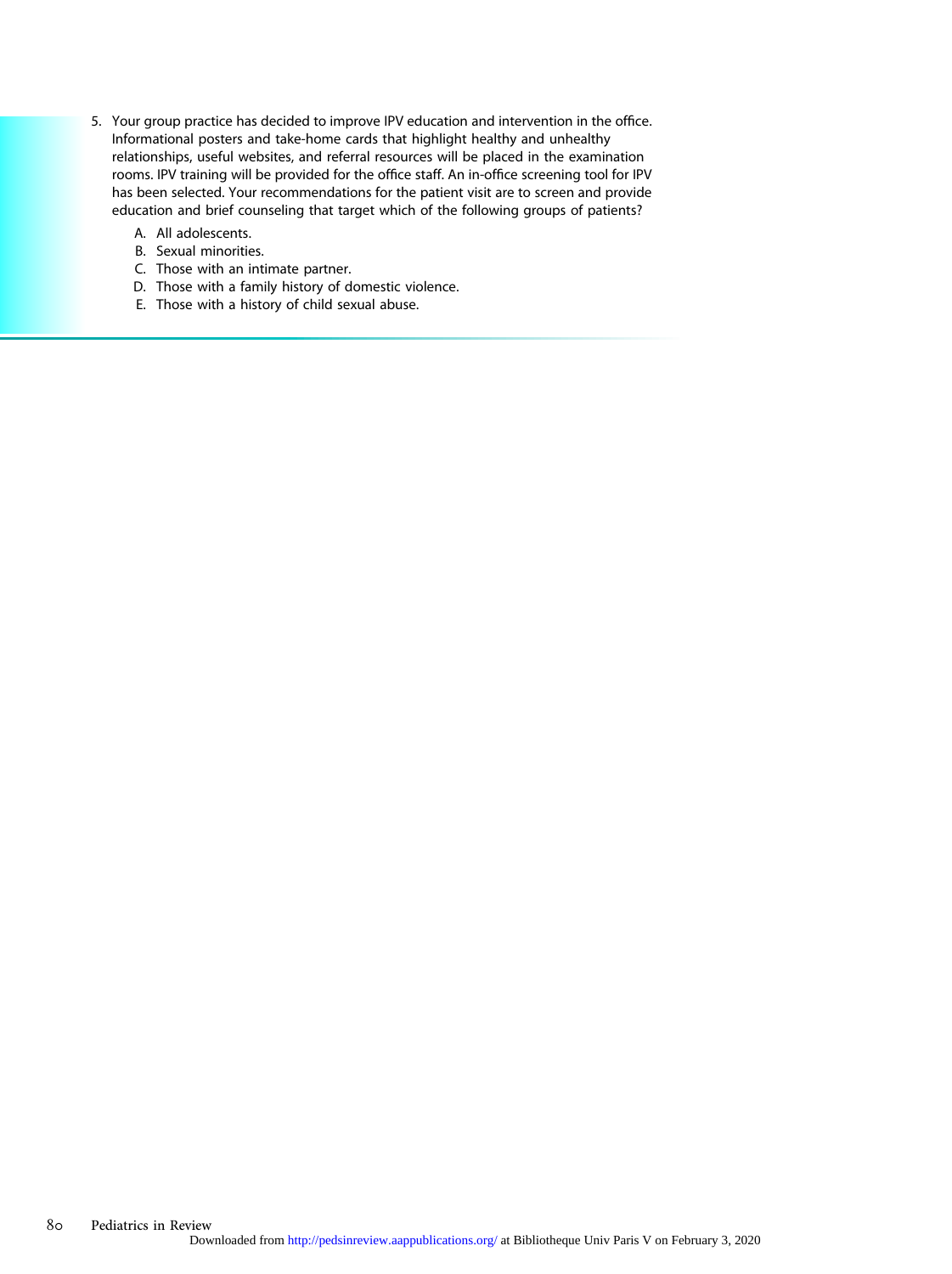- 5. Your group practice has decided to improve IPV education and intervention in the office. Informational posters and take-home cards that highlight healthy and unhealthy relationships, useful websites, and referral resources will be placed in the examination rooms. IPV training will be provided for the office staff. An in-office screening tool for IPV has been selected. Your recommendations for the patient visit are to screen and provide education and brief counseling that target which of the following groups of patients?
	- A. All adolescents.
	- B. Sexual minorities.
	- C. Those with an intimate partner.
	- D. Those with a family history of domestic violence.
	- E. Those with a history of child sexual abuse.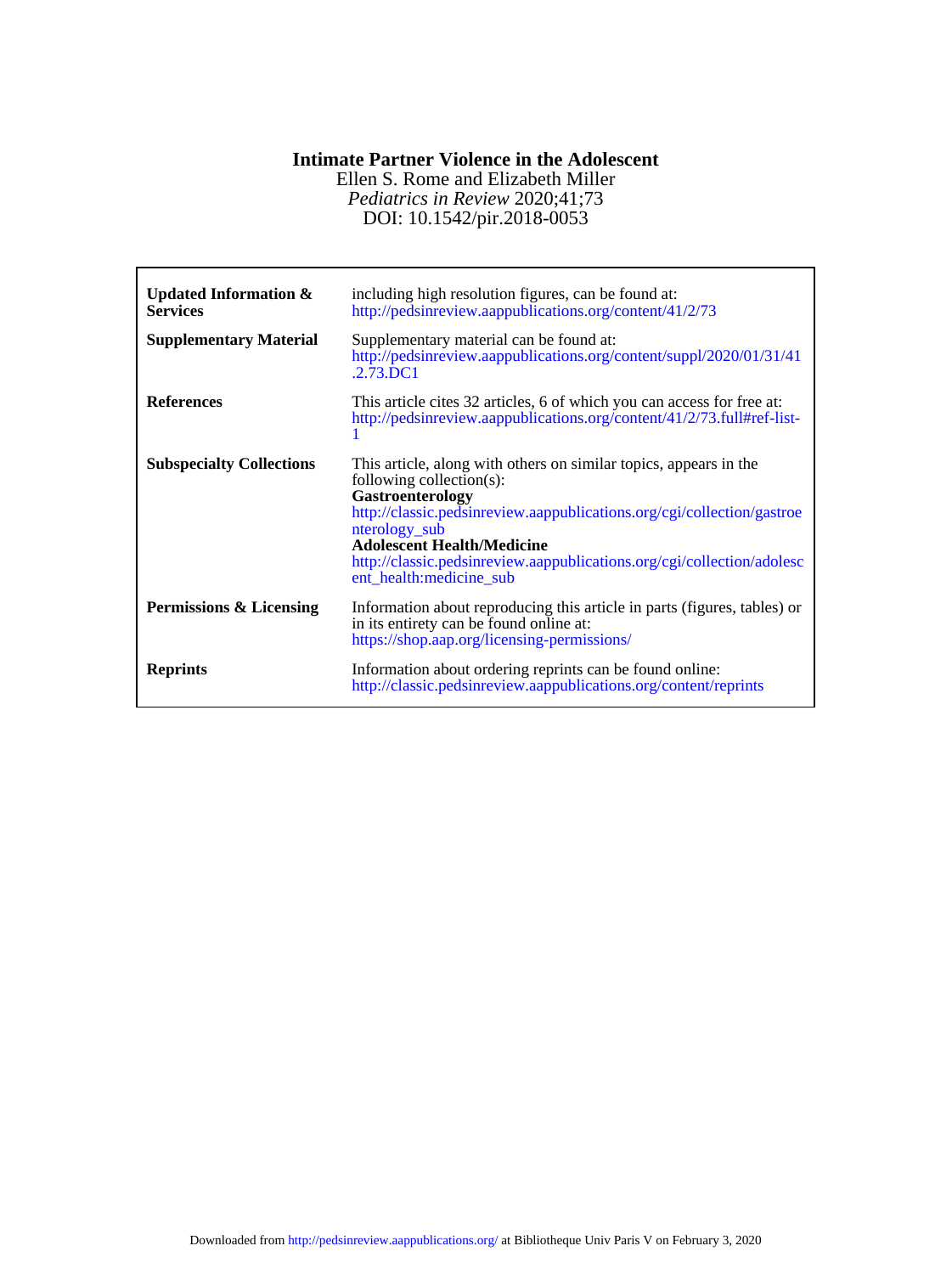### **Intimate Partner Violence in the Adolescent**

DOI: 10.1542/pir.2018-0053 *Pediatrics in Review* 2020;41;73 Ellen S. Rome and Elizabeth Miller

| <b>Updated Information &amp;</b><br><b>Services</b><br><b>Supplementary Material</b> | including high resolution figures, can be found at:<br>http://pedsinreview.aappublications.org/content/41/2/73<br>Supplementary material can be found at:<br>http://pedsinreview.aappublications.org/content/suppl/2020/01/31/41<br>$.2.73$ .DC1                                                                                                       |
|--------------------------------------------------------------------------------------|--------------------------------------------------------------------------------------------------------------------------------------------------------------------------------------------------------------------------------------------------------------------------------------------------------------------------------------------------------|
| <b>References</b>                                                                    | This article cites 32 articles, 6 of which you can access for free at:<br>http://pedsinreview.aappublications.org/content/41/2/73.full#ref-list-                                                                                                                                                                                                       |
| <b>Subspecialty Collections</b>                                                      | This article, along with others on similar topics, appears in the<br>following collection(s):<br>Gastroenterology<br>http://classic.pedsinreview.aappublications.org/cgi/collection/gastroe<br>nterology_sub<br><b>Adolescent Health/Medicine</b><br>http://classic.pedsinreview.aappublications.org/cgi/collection/adolesc<br>ent_health:medicine_sub |
| Permissions & Licensing                                                              | Information about reproducing this article in parts (figures, tables) or<br>in its entirety can be found online at:<br>https://shop.aap.org/licensing-permissions/                                                                                                                                                                                     |
| <b>Reprints</b>                                                                      | Information about ordering reprints can be found online:<br>http://classic.pedsinreview.aappublications.org/content/reprints                                                                                                                                                                                                                           |